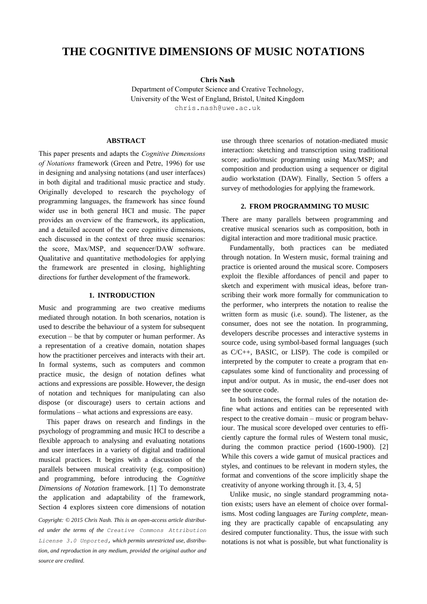# **THE COGNITIVE DIMENSIONS OF MUSIC NOTATIONS**

**Chris Nash**

Department of Computer Science and Creative Technology, University of the West of England, Bristol, United Kingdom [chris.nash@uwe.ac.uk](mailto:chris.nash@uwe.ac.uk)

#### **ABSTRACT**

This paper presents and adapts the *Cognitive Dimensions of Notations* framework (Green and Petre, 1996) for use in designing and analysing notations (and user interfaces) in both digital and traditional music practice and study. Originally developed to research the psychology of programming languages, the framework has since found wider use in both general HCI and music. The paper provides an overview of the framework, its application, and a detailed account of the core cognitive dimensions, each discussed in the context of three music scenarios: the score, Max/MSP, and sequencer/DAW software. Qualitative and quantitative methodologies for applying the framework are presented in closing, highlighting directions for further development of the framework.

#### **1. INTRODUCTION**

Music and programming are two creative mediums mediated through notation. In both scenarios, notation is used to describe the behaviour of a system for subsequent execution – be that by computer or human performer. As a representation of a creative domain, notation shapes how the practitioner perceives and interacts with their art. In formal systems, such as computers and common practice music, the design of notation defines what actions and expressions are possible. However, the design of notation and techniques for manipulating can also dispose (or discourage) users to certain actions and formulations – what actions and expressions are easy.

This paper draws on research and findings in the psychology of programming and music HCI to describe a flexible approach to analysing and evaluating notations and user interfaces in a variety of digital and traditional musical practices. It begins with a discussion of the parallels between musical creativity (e.g. composition) and programming, before introducing the *Cognitive Dimensions of Notation* framework. [\[1\]](#page-12-0) To demonstrate the application and adaptability of the framework, Section 4 explores sixteen core dimensions of notation

*Copyright: © 2015 Chris Nash. This is an open-access article distributed under the terms of the [Creative Commons Attribution](http://creativecommons.org/licenses/by/3.0/)  [License 3.0 Unported,](http://creativecommons.org/licenses/by/3.0/) which permits unrestricted use, distribution, and reproduction in any medium, provided the original author and source are credited.*

use through three scenarios of notation-mediated music interaction: sketching and transcription using traditional score; audio/music programming using Max/MSP; and composition and production using a sequencer or digital audio workstation (DAW). Finally, Section 5 offers a survey of methodologies for applying the framework.

#### **2. FROM PROGRAMMING TO MUSIC**

There are many parallels between programming and creative musical scenarios such as composition, both in digital interaction and more traditional music practice.

Fundamentally, both practices can be mediated through notation. In Western music, formal training and practice is oriented around the musical score. Composers exploit the flexible affordances of pencil and paper to sketch and experiment with musical ideas, before transcribing their work more formally for communication to the performer, who interprets the notation to realise the written form as music (i.e. sound). The listener, as the consumer, does not see the notation. In programming, developers describe processes and interactive systems in source code, using symbol-based formal languages (such as C/C++, BASIC, or LISP). The code is compiled or interpreted by the computer to create a program that encapsulates some kind of functionality and processing of input and/or output. As in music, the end-user does not see the source code.

In both instances, the formal rules of the notation define what actions and entities can be represented with respect to the creative domain – music or program behaviour. The musical score developed over centuries to efficiently capture the formal rules of Western tonal music, during the common practice period (1600-1900). [\[2\]](#page-12-1) While this covers a wide gamut of musical practices and styles, and continues to be relevant in modern styles, the format and conventions of the score implicitly shape the creativity of anyone working through it. [\[3,](#page-12-2) [4,](#page-12-3) [5\]](#page-12-4)

Unlike music, no single standard programming notation exists; users have an element of choice over formalisms. Most coding languages are *Turing complete*, meaning they are practically capable of encapsulating any desired computer functionality. Thus, the issue with such notations is not what is possible, but what functionality is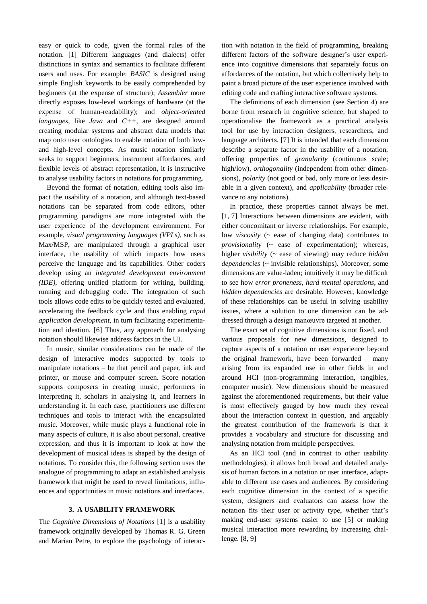easy or quick to code, given the formal rules of the notation. [\[1\]](#page-12-0) Different languages (and dialects) offer distinctions in syntax and semantics to facilitate different users and uses. For example: *BASIC* is designed using simple English keywords to be easily comprehended by beginners (at the expense of structure); *Assembler* more directly exposes low-level workings of hardware (at the expense of human-readability); and *object-oriented languages*, like *Java* and *C++*, are designed around creating modular systems and abstract data models that map onto user ontologies to enable notation of both lowand high-level concepts. As music notation similarly seeks to support beginners, instrument affordances, and flexible levels of abstract representation, it is instructive to analyse usability factors in notations for programming.

Beyond the format of notation, editing tools also impact the usability of a notation, and although text-based notations can be separated from code editors, other programming paradigms are more integrated with the user experience of the development environment. For example, *visual programming languages (VPLs)*, such as Max/MSP, are manipulated through a graphical user interface, the usability of which impacts how users perceive the language and its capabilities. Other coders develop using an *integrated development environment (IDE)*, offering unified platform for writing, building, running and debugging code. The integration of such tools allows code edits to be quickly tested and evaluated, accelerating the feedback cycle and thus enabling *rapid application development*, in turn facilitating experimentation and ideation. [\[6\]](#page-12-5) Thus, any approach for analysing notation should likewise address factors in the UI.

In music, similar considerations can be made of the design of interactive modes supported by tools to manipulate notations – be that pencil and paper, ink and printer, or mouse and computer screen. Score notation supports composers in creating music, performers in interpreting it, scholars in analysing it, and learners in understanding it. In each case, practitioners use different techniques and tools to interact with the encapsulated music. Moreover, while music plays a functional role in many aspects of culture, it is also about personal, creative expression, and thus it is important to look at how the development of musical ideas is shaped by the design of notations. To consider this, the following section uses the analogue of programming to adapt an established analysis framework that might be used to reveal limitations, influences and opportunities in music notations and interfaces.

### **3. A USABILITY FRAMEWORK**

The *Cognitive Dimensions of Notations* [\[1\]](#page-12-0) is a usability framework originally developed by Thomas R. G. Green and Marian Petre, to explore the psychology of interaction with notation in the field of programming, breaking different factors of the software designer's user experience into cognitive dimensions that separately focus on affordances of the notation, but which collectively help to paint a broad picture of the user experience involved with editing code and crafting interactive software systems.

The definitions of each dimension (see Section 4) are borne from research in cognitive science, but shaped to operationalise the framework as a practical analysis tool for use by interaction designers, researchers, and language architects. [\[7\]](#page-12-6) It is intended that each dimension describe a separate factor in the usability of a notation, offering properties of *granularity* (continuous scale; high/low), *orthogonality* (independent from other dimensions), *polarity* (not good or bad, only more or less desirable in a given context), and *applicability* (broader relevance to any notations).

In practice, these properties cannot always be met. [\[1,](#page-12-0) [7\]](#page-12-6) Interactions between dimensions are evident, with either concomitant or inverse relationships. For example, low *viscosity* (~ ease of changing data) contributes to *provisionality* (~ ease of experimentation); whereas, higher *visibility* (~ ease of viewing) may reduce *hidden dependencies* (~ invisible relationships). Moreover, some dimensions are value-laden; intuitively it may be difficult to see how *error proneness*, *hard mental operations*, and *hidden dependencies* are desirable. However, knowledge of these relationships can be useful in solving usability issues, where a solution to one dimension can be addressed through a design manœuvre targeted at another.

The exact set of cognitive dimensions is not fixed, and various proposals for new dimensions, designed to capture aspects of a notation or user experience beyond the original framework, have been forwarded – many arising from its expanded use in other fields in and around HCI (non-programming interaction, tangibles, computer music). New dimensions should be measured against the aforementioned requirements, but their value is most effectively gauged by how much they reveal about the interaction context in question, and arguably the greatest contribution of the framework is that it provides a vocabulary and structure for discussing and analysing notation from multiple perspectives.

As an HCI tool (and in contrast to other usability methodologies), it allows both broad and detailed analysis of human factors in a notation or user interface, adaptable to different use cases and audiences. By considering each cognitive dimension in the context of a specific system, designers and evaluators can assess how the notation fits their user or activity type, whether that's making end-user systems easier to use [\[5\]](#page-12-4) or making musical interaction more rewarding by increasing challenge. [\[8,](#page-12-7) [9\]](#page-12-8)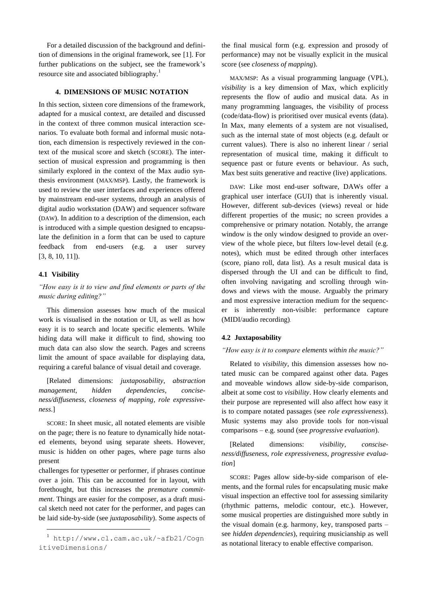For a detailed discussion of the background and definition of dimensions in the original framework, see [\[1\].](#page-12-0) For further publications on the subject, see the framework's resource site and associated bibliography.<sup>1</sup>

### **4. DIMENSIONS OF MUSIC NOTATION**

In this section, sixteen core dimensions of the framework, adapted for a musical context, are detailed and discussed in the context of three common musical interaction scenarios. To evaluate both formal and informal music notation, each dimension is respectively reviewed in the context of the musical score and sketch (SCORE). The intersection of musical expression and programming is then similarly explored in the context of the Max audio synthesis environment (MAX/MSP). Lastly, the framework is used to review the user interfaces and experiences offered by mainstream end-user systems, through an analysis of digital audio workstation (DAW) and sequencer software (DAW). In addition to a description of the dimension, each is introduced with a simple question designed to encapsulate the definition in a form that can be used to capture feedback from end-users (e.g. a user survey [\[3,](#page-12-2) [8,](#page-12-7) [10,](#page-12-9) [11\]\)](#page-12-10).

#### **4.1 Visibility**

-

*"How easy is it to view and find elements or parts of the music during editing?"*

This dimension assesses how much of the musical work is visualised in the notation or UI, as well as how easy it is to search and locate specific elements. While hiding data will make it difficult to find, showing too much data can also slow the search. Pages and screens limit the amount of space available for displaying data, requiring a careful balance of visual detail and coverage.

[Related dimensions: *juxtaposability*, *abstraction management*, *hidden dependencies, conciseness/diffuseness*, *closeness of mapping, role expressiveness*.]

SCORE: In sheet music, all notated elements are visible on the page; there is no feature to dynamically hide notated elements, beyond using separate sheets. However, music is hidden on other pages, where page turns also present

challenges for typesetter or performer, if phrases continue over a join. This can be accounted for in layout, with forethought, but this increases the *premature commitment*. Things are easier for the composer, as a draft musical sketch need not cater for the performer, and pages can be laid side-by-side (see *juxtaposability*). Some aspects of the final musical form (e.g. expression and prosody of performance) may not be visually explicit in the musical score (see *closeness of mapping*).

MAX/MSP: As a visual programming language (VPL), *visibility* is a key dimension of Max, which explicitly represents the flow of audio and musical data. As in many programming languages, the visibility of process (code/data-flow) is prioritised over musical events (data). In Max, many elements of a system are not visualised, such as the internal state of most objects (e.g. default or current values). There is also no inherent linear / serial representation of musical time, making it difficult to sequence past or future events or behaviour. As such, Max best suits generative and reactive (live) applications.

DAW: Like most end-user software, DAWs offer a graphical user interface (GUI) that is inherently visual. However, different sub-devices (views) reveal or hide different properties of the music; no screen provides a comprehensive or primary notation. Notably, the arrange window is the only window designed to provide an overview of the whole piece, but filters low-level detail (e.g. notes), which must be edited through other interfaces (score, piano roll, data list). As a result musical data is dispersed through the UI and can be difficult to find, often involving navigating and scrolling through windows and views with the mouse. Arguably the primary and most expressive interaction medium for the sequencer is inherently non-visible: performance capture (MIDI/audio recording).

#### **4.2 Juxtaposability**

#### *"How easy is it to compare elements within the music?"*

Related to *visibility*, this dimension assesses how notated music can be compared against other data. Pages and moveable windows allow side-by-side comparison, albeit at some cost to *visibility*. How clearly elements and their purpose are represented will also affect how easy it is to compare notated passages (see *role expressiveness*). Music systems may also provide tools for non-visual comparisons – e.g. sound (see *progressive evaluation*).

[Related dimensions: *visibility*, *consciseness/diffuseness, role expressiveness*, *progressive evaluation*]

SCORE: Pages allow side-by-side comparison of elements, and the formal rules for encapsulating music make visual inspection an effective tool for assessing similarity (rhythmic patterns, melodic contour, etc.). However, some musical properties are distinguished more subtly in the visual domain (e.g. harmony, key, transposed parts – see *hidden dependencies*), requiring musicianship as well as notational literacy to enable effective comparison.

<sup>1</sup> [http://www.cl.cam.ac.uk/~afb21/Cogn](http://www.cl.cam.ac.uk/~afb21/CognitiveDimensions/) [itiveDimensions/](http://www.cl.cam.ac.uk/~afb21/CognitiveDimensions/)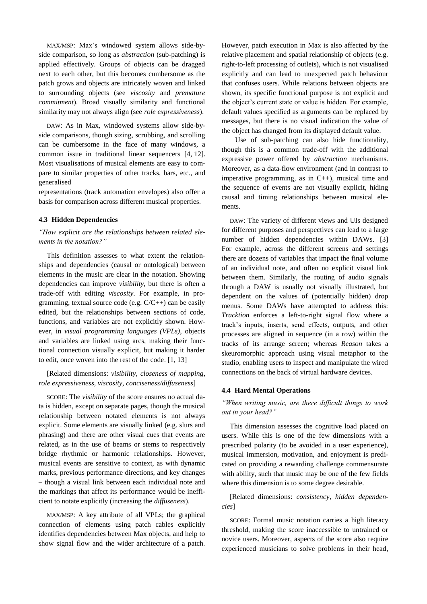MAX/MSP: Max's windowed system allows side-byside comparison, so long as *abstraction* (sub-patching) is applied effectively. Groups of objects can be dragged next to each other, but this becomes cumbersome as the patch grows and objects are intricately woven and linked to surrounding objects (see *viscosity* and *premature commitment*). Broad visually similarity and functional similarity may not always align (see *role expressiveness*).

DAW: As in Max, windowed systems allow side-byside comparisons, though sizing, scrubbing, and scrolling can be cumbersome in the face of many windows, a common issue in traditional linear sequencers [\[4,](#page-12-3) [12\].](#page-12-11) Most visualisations of musical elements are easy to compare to similar properties of other tracks, bars, etc., and generalised

representations (track automation envelopes) also offer a basis for comparison across different musical properties.

### **4.3 Hidden Dependencies**

# *"How explicit are the relationships between related elements in the notation?"*

This definition assesses to what extent the relationships and dependencies (causal or ontological) between elements in the music are clear in the notation. Showing dependencies can improve *visibility*, but there is often a trade-off with editing *viscosity*. For example, in programming, textual source code (e.g.  $C/C++$ ) can be easily edited, but the relationships between sections of code, functions, and variables are not explicitly shown. However, in *visual programming languages (VPLs)*, objects and variables are linked using arcs, making their functional connection visually explicit, but making it harder to edit, once woven into the rest of the code. [\[1,](#page-12-0) [13\]](#page-12-12)

### [Related dimensions: *visibility*, *closeness of mapping*, *role expressiveness*, *viscosity*, *conciseness/diffuseness*]

SCORE: The *visibility* of the score ensures no actual data is hidden, except on separate pages, though the musical relationship between notated elements is not always explicit. Some elements are visually linked (e.g. slurs and phrasing) and there are other visual cues that events are related, as in the use of beams or stems to respectively bridge rhythmic or harmonic relationships. However, musical events are sensitive to context, as with dynamic marks, previous performance directions, and key changes – though a visual link between each individual note and the markings that affect its performance would be inefficient to notate explicitly (increasing the *diffuseness*).

MAX/MSP: A key attribute of all VPLs; the graphical connection of elements using patch cables explicitly identifies dependencies between Max objects, and help to show signal flow and the wider architecture of a patch.

However, patch execution in Max is also affected by the relative placement and spatial relationship of objects (e.g. right-to-left processing of outlets), which is not visualised explicitly and can lead to unexpected patch behaviour that confuses users. While relations between objects are shown, its specific functional purpose is not explicit and the object's current state or value is hidden. For example, default values specified as arguments can be replaced by messages, but there is no visual indication the value of the object has changed from its displayed default value.

 Use of sub-patching can also hide functionality, though this is a common trade-off with the additional expressive power offered by *abstraction* mechanisms. Moreover, as a data-flow environment (and in contrast to imperative programming, as in C++), musical time and the sequence of events are not visually explicit, hiding causal and timing relationships between musical elements.

DAW: The variety of different views and UIs designed for different purposes and perspectives can lead to a large number of hidden dependencies within DAWs. [\[3\]](#page-12-2) For example, across the different screens and settings there are dozens of variables that impact the final volume of an individual note, and often no explicit visual link between them. Similarly, the routing of audio signals through a DAW is usually not visually illustrated, but dependent on the values of (potentially hidden) drop menus. Some DAWs have attempted to address this: *Tracktion* enforces a left-to-right signal flow where a track's inputs, inserts, send effects, outputs, and other processes are aligned in sequence (in a row) within the tracks of its arrange screen; whereas *Reason* takes a skeuromorphic approach using visual metaphor to the studio, enabling users to inspect and manipulate the wired connections on the back of virtual hardware devices.

#### **4.4 Hard Mental Operations**

*"When writing music, are there difficult things to work out in your head?"*

This dimension assesses the cognitive load placed on users. While this is one of the few dimensions with a prescribed polarity (to be avoided in a user experience), musical immersion, motivation, and enjoyment is predicated on providing a rewarding challenge commensurate with ability, such that music may be one of the few fields where this dimension is to some degree desirable.

[Related dimensions: *consistency, hidden dependencies*]

SCORE: Formal music notation carries a high literacy threshold, making the score inaccessible to untrained or novice users. Moreover, aspects of the score also require experienced musicians to solve problems in their head,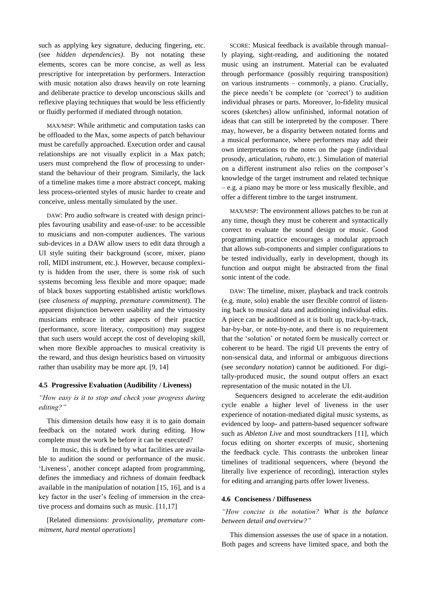such as applying key signature, deducing fingering, etc. (see *hidden dependencies)*. By not notating these elements, scores can be more concise, as well as less prescriptive for interpretation by performers. Interaction with music notation also draws heavily on rote learning and deliberate practice to develop unconscious skills and reflexive playing techniques that would be less efficiently or fluidly performed if mediated through notation.

MAX/MSP: While arithmetic and computation tasks can be offloaded to the Max, some aspects of patch behaviour must be carefully approached. Execution order and causal relationships are not visually explicit in a Max patch; users must comprehend the flow of processing to understand the behaviour of their program. Similarly, the lack of a timeline makes time a more abstract concept, making less process-oriented styles of music harder to create and conceive, unless mentally simulated by the user.

DAW: Pro audio software is created with design principles favouring usability and ease-of-use: to be accessible to musicians and non-computer audiences. The various sub-devices in a DAW allow users to edit data through a UI style suiting their background (score, mixer, piano roll, MIDI instrument, etc.). However, because complexity is hidden from the user, there is some risk of such systems becoming less flexible and more opaque; made of black boxes supporting established artistic workflows (see *closeness of mapping*, *premature commitment*). The apparent disjunction between usability and the virtuosity musicians embrace in other aspects of their practice (performance, score literacy, composition) may suggest that such users would accept the cost of developing skill, when more flexible approaches to musical creativity is the reward, and thus design heuristics based on virtuosity rather than usability may be more apt. [\[9,](#page-12-8) [14\]](#page-12-13)

#### **4.5 Progressive Evaluation (Audibility / Liveness)**

# *"How easy is it to stop and check your progress during editing?"*

This dimension details how easy it is to gain domain feedback on the notated work during editing. How complete must the work be before it can be executed?

 In music, this is defined by what facilities are available to audition the sound or performance of the music. 'Liveness', another concept adapted from programming, defines the immediacy and richness of domain feedback available in the manipulation of notation [\[15,](#page-12-14) [16\],](#page-12-15) and is a key factor in the user's feeling of immersion in the creative process and domains such as music. [\[11](#page-12-10)[,17\]](#page-12-16)

[Related dimensions: *provisionality*, *premature commitment*, *hard mental operations*]

SCORE: Musical feedback is available through manually playing, sight-reading, and auditioning the notated music using an instrument. Material can be evaluated through performance (possibly requiring transposition) on various instruments – commonly, a piano. Crucially, the piece needn't be complete (or 'correct') to audition individual phrases or parts. Moreover, lo-fidelity musical scores (sketches) allow unfinished, informal notation of ideas that can still be interpreted by the composer. There may, however, be a disparity between notated forms and a musical performance, where performers may add their own interpretations to the notes on the page (individual prosody, articulation, *rubato*, etc.). Simulation of material on a different instrument also relies on the composer's knowledge of the target instrument and related technique – e.g. a piano may be more or less musically flexible, and offer a different timbre to the target instrument.

MAX/MSP: The environment allows patches to be run at any time, though they must be coherent and syntactically correct to evaluate the sound design or music. Good programming practice encourages a modular approach that allows sub-components and simpler configurations to be tested individually, early in development, though its function and output might be abstracted from the final sonic intent of the code.

DAW: The timeline, mixer, playback and track controls (e.g. mute, solo) enable the user flexible control of listening back to musical data and auditioning individual edits. A piece can be auditioned as it is built up, track-by-track, bar-by-bar, or note-by-note, and there is no requirement that the 'solution' or notated form be musically correct or coherent to be heard. The rigid UI prevents the entry of non-sensical data, and informal or ambiguous directions (see *secondary notation*) cannot be auditioned. For digitally-produced music, the sound output offers an exact representation of the music notated in the UI.

 Sequencers designed to accelerate the edit-audition cycle enable a higher level of liveness in the user experience of notation-mediated digital music systems, as evidenced by loop- and pattern-based sequencer software such as *Ableton Live* and most soundtrackers [\[11\],](#page-12-10) which focus editing on shorter excerpts of music, shortening the feedback cycle. This contrasts the unbroken linear timelines of traditional sequencers, where (beyond the literally live experience of recording), interaction styles for editing and arranging parts offer lower liveness.

#### **4.6 Conciseness / Diffuseness**

*"How concise is the notation? What is the balance between detail and overview?"*

This dimension assesses the use of space in a notation. Both pages and screens have limited space, and both the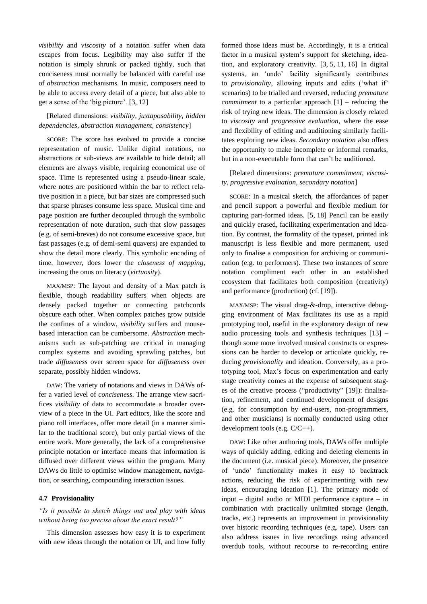*visibility* and *viscosity* of a notation suffer when data escapes from focus. Legibility may also suffer if the notation is simply shrunk or packed tightly, such that conciseness must normally be balanced with careful use of *abstraction* mechanisms. In music, composers need to be able to access every detail of a piece, but also able to get a sense of the 'big picture'. [\[3,](#page-12-2) [12\]](#page-12-11)

# [Related dimensions: *visibility*, *juxtaposability*, *hidden dependencies*, *abstraction management*, *consistency*]

SCORE: The score has evolved to provide a concise representation of music. Unlike digital notations, no abstractions or sub-views are available to hide detail; all elements are always visible, requiring economical use of space. Time is represented using a pseudo-linear scale, where notes are positioned within the bar to reflect relative position in a piece, but bar sizes are compressed such that sparse phrases consume less space. Musical time and page position are further decoupled through the symbolic representation of note duration, such that slow passages (e.g. of semi-breves) do not consume excessive space, but fast passages (e.g. of demi-semi quavers) are expanded to show the detail more clearly. This symbolic encoding of time, however, does lower the *closeness of mapping*, increasing the onus on literacy (*virtuosity*).

MAX/MSP: The layout and density of a Max patch is flexible, though readability suffers when objects are densely packed together or connecting patchcords obscure each other. When complex patches grow outside the confines of a window, *visibility* suffers and mousebased interaction can be cumbersome. *Abstraction* mechanisms such as sub-patching are critical in managing complex systems and avoiding sprawling patches, but trade *diffuseness* over screen space for *diffuseness* over separate, possibly hidden windows.

DAW: The variety of notations and views in DAWs offer a varied level of *conciseness*. The arrange view sacrifices *visibility* of data to accommodate a broader overview of a piece in the UI. Part editors, like the score and piano roll interfaces, offer more detail (in a manner similar to the traditional score), but only partial views of the entire work. More generally, the lack of a comprehensive principle notation or interface means that information is diffused over different views within the program. Many DAWs do little to optimise window management, navigation, or searching, compounding interaction issues.

#### **4.7 Provisionality**

# *"Is it possible to sketch things out and play with ideas without being too precise about the exact result?"*

This dimension assesses how easy it is to experiment with new ideas through the notation or UI, and how fully

formed those ideas must be. Accordingly, it is a critical factor in a musical system's support for sketching, ideation, and exploratory creativity. [\[3,](#page-12-2) [5,](#page-12-4) [11,](#page-12-10) [16\]](#page-12-15) In digital systems, an 'undo' facility significantly contributes to *provisionality*, allowing inputs and edits ('what if' scenarios) to be trialled and reversed, reducing *premature commitment* to a particular approach [\[1\]](#page-12-0) – reducing the risk of trying new ideas. The dimension is closely related to *viscosity* and *progressive evaluation*, where the ease and flexibility of editing and auditioning similarly facilitates exploring new ideas. *Secondary notation* also offers the opportunity to make incomplete or informal remarks, but in a non-executable form that can't be auditioned.

# [Related dimensions: *premature commitment*, *viscosity, progressive evaluation, secondary notation*]

SCORE: In a musical sketch, the affordances of paper and pencil support a powerful and flexible medium for capturing part-formed ideas. [\[5,](#page-12-4) [18\]](#page-12-17) Pencil can be easily and quickly erased, facilitating experimentation and ideation. By contrast, the formality of the typeset, printed ink manuscript is less flexible and more permanent, used only to finalise a composition for archiving or communication (e.g. to performers). These two instances of score notation compliment each other in an established ecosystem that facilitates both composition (creativity) and performance (production) (cf. [\[19\]\)](#page-12-18).

MAX/MSP: The visual drag-&-drop, interactive debugging environment of Max facilitates its use as a rapid prototyping tool, useful in the exploratory design of new audio processing tools and synthesis techniques [\[13\]](#page-12-12) – though some more involved musical constructs or expressions can be harder to develop or articulate quickly, reducing *provisionality* and ideation. Conversely, as a prototyping tool, Max's focus on experimentation and early stage creativity comes at the expense of subsequent stages of the creative process ("productivity" [\[19\]\)](#page-12-18): finalisation, refinement, and continued development of designs (e.g. for consumption by end-users, non-programmers, and other musicians) is normally conducted using other development tools (e.g. C/C++).

DAW: Like other authoring tools, DAWs offer multiple ways of quickly adding, editing and deleting elements in the document (i.e. musical piece). Moreover, the presence of 'undo' functionality makes it easy to backtrack actions, reducing the risk of experimenting with new ideas, encouraging ideation [\[1\].](#page-12-0) The primary mode of input – digital audio or MIDI performance capture – in combination with practically unlimited storage (length, tracks, etc.) represents an improvement in provisionality over historic recording techniques (e.g. tape). Users can also address issues in live recordings using advanced overdub tools, without recourse to re-recording entire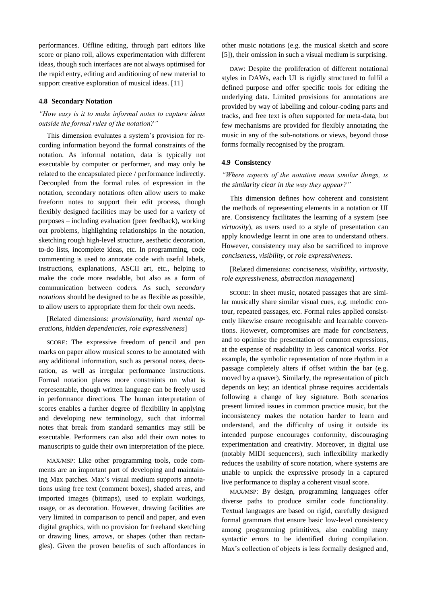performances. Offline editing, through part editors like score or piano roll, allows experimentation with different ideas, though such interfaces are not always optimised for the rapid entry, editing and auditioning of new material to support creative exploration of musical ideas. [\[11\]](#page-12-10)

#### **4.8 Secondary Notation**

# *"How easy is it to make informal notes to capture ideas outside the formal rules of the notation?"*

This dimension evaluates a system's provision for recording information beyond the formal constraints of the notation. As informal notation, data is typically not executable by computer or performer, and may only be related to the encapsulated piece / performance indirectly. Decoupled from the formal rules of expression in the notation, secondary notations often allow users to make freeform notes to support their edit process, though flexibly designed facilities may be used for a variety of purposes – including evaluation (peer feedback), working out problems, highlighting relationships in the notation, sketching rough high-level structure, aesthetic decoration, to-do lists, incomplete ideas, etc. In programming, code commenting is used to annotate code with useful labels, instructions, explanations, ASCII art, etc., helping to make the code more readable, but also as a form of communication between coders. As such, *secondary notations* should be designed to be as flexible as possible, to allow users to appropriate them for their own needs.

# [Related dimensions: *provisionality*, *hard mental operations*, *hidden dependencies, role expressiveness*]

SCORE: The expressive freedom of pencil and pen marks on paper allow musical scores to be annotated with any additional information, such as personal notes, decoration, as well as irregular performance instructions. Formal notation places more constraints on what is representable, though written language can be freely used in performance directions. The human interpretation of scores enables a further degree of flexibility in applying and developing new terminology, such that informal notes that break from standard semantics may still be executable. Performers can also add their own notes to manuscripts to guide their own interpretation of the piece.

MAX/MSP: Like other programming tools, code comments are an important part of developing and maintaining Max patches. Max's visual medium supports annotations using free text (comment boxes), shaded areas, and imported images (bitmaps), used to explain workings, usage, or as decoration. However, drawing facilities are very limited in comparison to pencil and paper, and even digital graphics, with no provision for freehand sketching or drawing lines, arrows, or shapes (other than rectangles). Given the proven benefits of such affordances in

other music notations (e.g. the musical sketch and score [\[5\]\)](#page-12-4), their omission in such a visual medium is surprising.

DAW: Despite the proliferation of different notational styles in DAWs, each UI is rigidly structured to fulfil a defined purpose and offer specific tools for editing the underlying data. Limited provisions for annotations are provided by way of labelling and colour-coding parts and tracks, and free text is often supported for meta-data, but few mechanisms are provided for flexibly annotating the music in any of the sub-notations or views, beyond those forms formally recognised by the program.

### **4.9 Consistency**

# *"Where aspects of the notation mean similar things, is the similarity clear in the way they appear?"*

This dimension defines how coherent and consistent the methods of representing elements in a notation or UI are. Consistency facilitates the learning of a system (see *virtuosity*), as users used to a style of presentation can apply knowledge learnt in one area to understand others. However, consistency may also be sacrificed to improve *conciseness*, *visibility*, or *role expressiveness*.

[Related dimensions: *conciseness*, *visibility*, *virtuosity*, *role expressiveness*, *abstraction management*]

SCORE: In sheet music, notated passages that are similar musically share similar visual cues, e.g. melodic contour, repeated passages, etc. Formal rules applied consistently likewise ensure recognisable and learnable conventions. However, compromises are made for *conciseness*, and to optimise the presentation of common expressions, at the expense of readability in less canonical works. For example, the symbolic representation of note rhythm in a passage completely alters if offset within the bar (e.g. moved by a quaver). Similarly, the representation of pitch depends on key; an identical phrase requires accidentals following a change of key signature. Both scenarios present limited issues in common practice music, but the inconsistency makes the notation harder to learn and understand, and the difficulty of using it outside its intended purpose encourages conformity, discouraging experimentation and creativity. Moreover, in digital use (notably MIDI sequencers), such inflexibility markedly reduces the usability of score notation, where systems are unable to unpick the expressive prosody in a captured live performance to display a coherent visual score.

MAX/MSP: By design, programming languages offer diverse paths to produce similar code functionality. Textual languages are based on rigid, carefully designed formal grammars that ensure basic low-level consistency among programming primitives, also enabling many syntactic errors to be identified during compilation. Max's collection of objects is less formally designed and,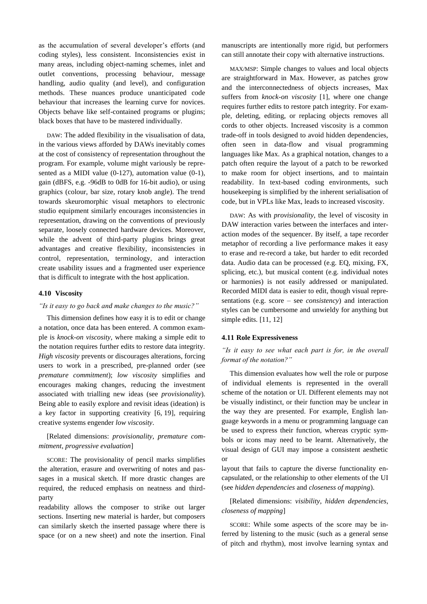as the accumulation of several developer's efforts (and coding styles), less consistent. Inconsistencies exist in many areas, including object-naming schemes, inlet and outlet conventions, processing behaviour, message handling, audio quality (and level), and configuration methods. These nuances produce unanticipated code behaviour that increases the learning curve for novices. Objects behave like self-contained programs or plugins; black boxes that have to be mastered individually.

DAW: The added flexibility in the visualisation of data, in the various views afforded by DAWs inevitably comes at the cost of consistency of representation throughout the program. For example, volume might variously be represented as a MIDI value (0-127), automation value (0-1), gain (dBFS, e.g. -96dB to 0dB for 16-bit audio), or using graphics (colour, bar size, rotary knob angle). The trend towards skeuromorphic visual metaphors to electronic studio equipment similarly encourages inconsistencies in representation, drawing on the conventions of previously separate, loosely connected hardware devices. Moreover, while the advent of third-party plugins brings great advantages and creative flexibility, inconsistencies in control, representation, terminology, and interaction create usability issues and a fragmented user experience that is difficult to integrate with the host application.

#### **4.10 Viscosity**

#### *"Is it easy to go back and make changes to the music?"*

This dimension defines how easy it is to edit or change a notation, once data has been entered. A common example is *knock-on viscosity*, where making a simple edit to the notation requires further edits to restore data integrity. *High viscosity* prevents or discourages alterations, forcing users to work in a prescribed, pre-planned order (see *premature commitment*); *low viscosity* simplifies and encourages making changes, reducing the investment associated with trialling new ideas (see *provisionality*). Being able to easily explore and revisit ideas (ideation) is a key factor in supporting creativity [\[6,](#page-12-5) [19\],](#page-12-18) requiring creative systems engender *low viscosity*.

### [Related dimensions: *provisionality*, *premature commitment*, *progressive evaluation*]

SCORE: The provisionality of pencil marks simplifies the alteration, erasure and overwriting of notes and passages in a musical sketch. If more drastic changes are required, the reduced emphasis on neatness and thirdparty

readability allows the composer to strike out larger sections. Inserting new material is harder, but composers can similarly sketch the inserted passage where there is space (or on a new sheet) and note the insertion. Final

manuscripts are intentionally more rigid, but performers can still annotate their copy with alternative instructions.

MAX/MSP: Simple changes to values and local objects are straightforward in Max. However, as patches grow and the interconnectedness of objects increases, Max suffers from *knock-on viscosity* [\[1\],](#page-12-0) where one change requires further edits to restore patch integrity. For example, deleting, editing, or replacing objects removes all cords to other objects. Increased viscosity is a common trade-off in tools designed to avoid hidden dependencies, often seen in data-flow and visual programming languages like Max. As a graphical notation, changes to a patch often require the layout of a patch to be reworked to make room for object insertions, and to maintain readability. In text-based coding environments, such housekeeping is simplified by the inherent serialisation of code, but in VPLs like Max, leads to increased viscosity.

DAW: As with *provisionality*, the level of viscosity in DAW interaction varies between the interfaces and interaction modes of the sequencer. By itself, a tape recorder metaphor of recording a live performance makes it easy to erase and re-record a take, but harder to edit recorded data. Audio data can be processed (e.g. EQ, mixing, FX, splicing, etc.), but musical content (e.g. individual notes or harmonies) is not easily addressed or manipulated. Recorded MIDI data is easier to edit, though visual representations (e.g. score – see *consistency*) and interaction styles can be cumbersome and unwieldy for anything but simple edits. [\[11,](#page-12-10) [12\]](#page-12-11)

### **4.11 Role Expressiveness**

# *"Is it easy to see what each part is for, in the overall format of the notation?"*

This dimension evaluates how well the role or purpose of individual elements is represented in the overall scheme of the notation or UI. Different elements may not be visually indistinct, or their function may be unclear in the way they are presented. For example, English language keywords in a menu or programming language can be used to express their function, whereas cryptic symbols or icons may need to be learnt. Alternatively, the visual design of GUI may impose a consistent aesthetic or

layout that fails to capture the diverse functionality encapsulated, or the relationship to other elements of the UI (see *hidden dependencies* and *closeness of mapping*).

# [Related dimensions: *visibility*, *hidden dependencies*, *closeness of mapping*]

SCORE: While some aspects of the score may be inferred by listening to the music (such as a general sense of pitch and rhythm), most involve learning syntax and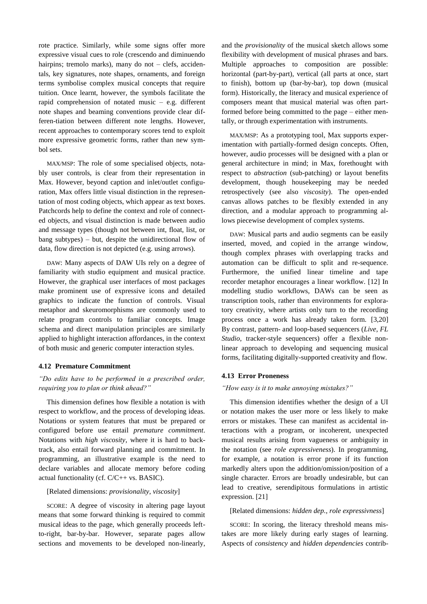rote practice. Similarly, while some signs offer more expressive visual cues to role (crescendo and diminuendo hairpins; tremolo marks), many do not – clefs, accidentals, key signatures, note shapes, ornaments, and foreign terms symbolise complex musical concepts that require tuition. Once learnt, however, the symbols facilitate the rapid comprehension of notated music – e.g. different note shapes and beaming conventions provide clear differen-tiation between different note lengths. However, recent approaches to contemporary scores tend to exploit more expressive geometric forms, rather than new symbol sets.

MAX/MSP: The role of some specialised objects, notably user controls, is clear from their representation in Max. However, beyond caption and inlet/outlet configuration, Max offers little visual distinction in the representation of most coding objects, which appear as text boxes. Patchcords help to define the context and role of connected objects, and visual distinction is made between audio and message types (though not between int, float, list, or bang subtypes) – but, despite the unidirectional flow of data, flow direction is not depicted (e.g. using arrows).

DAW: Many aspects of DAW UIs rely on a degree of familiarity with studio equipment and musical practice. However, the graphical user interfaces of most packages make prominent use of expressive icons and detailed graphics to indicate the function of controls. Visual metaphor and skeuromorphisms are commonly used to relate program controls to familiar concepts. Image schema and direct manipulation principles are similarly applied to highlight interaction affordances, in the context of both music and generic computer interaction styles.

#### **4.12 Premature Commitment**

# *"Do edits have to be performed in a prescribed order, requiring you to plan or think ahead?"*

This dimension defines how flexible a notation is with respect to workflow, and the process of developing ideas. Notations or system features that must be prepared or configured before use entail *premature commitment*. Notations with *high viscosity*, where it is hard to backtrack, also entail forward planning and commitment. In programming, an illustrative example is the need to declare variables and allocate memory before coding actual functionality (cf. C/C++ vs. BASIC).

### [Related dimensions: *provisionality*, *viscosity*]

SCORE: A degree of viscosity in altering page layout means that some forward thinking is required to commit musical ideas to the page, which generally proceeds leftto-right, bar-by-bar. However, separate pages allow sections and movements to be developed non-linearly, and the *provisionality* of the musical sketch allows some flexibility with development of musical phrases and bars. Multiple approaches to composition are possible: horizontal (part-by-part), vertical (all parts at once, start to finish), bottom up (bar-by-bar), top down (musical form). Historically, the literacy and musical experience of composers meant that musical material was often partformed before being committed to the page – either mentally, or through experimentation with instruments.

MAX/MSP: As a prototyping tool, Max supports experimentation with partially-formed design concepts. Often, however, audio processes will be designed with a plan or general architecture in mind; in Max, forethought with respect to *abstraction* (sub-patching) or layout benefits development, though housekeeping may be needed retrospectively (see also *viscosity*). The open-ended canvas allows patches to be flexibly extended in any direction, and a modular approach to programming allows piecewise development of complex systems.

DAW: Musical parts and audio segments can be easily inserted, moved, and copied in the arrange window, though complex phrases with overlapping tracks and automation can be difficult to split and re-sequence. Furthermore, the unified linear timeline and tape recorder metaphor encourages a linear workflow. [\[12\]](#page-12-11) In modelling studio workflows, DAWs can be seen as transcription tools, rather than environments for exploratory creativity, where artists only turn to the recording process once a work has already taken form. [\[3,](#page-12-2)[20\]](#page-12-19) By contrast, pattern- and loop-based sequencers (*Live*, *FL Studio*, tracker-style sequencers) offer a flexible nonlinear approach to developing and sequencing musical forms, facilitating digitally-supported creativity and flow.

#### **4.13 Error Proneness**

### *"How easy is it to make annoying mistakes?"*

This dimension identifies whether the design of a UI or notation makes the user more or less likely to make errors or mistakes. These can manifest as accidental interactions with a program, or incoherent, unexpected musical results arising from vagueness or ambiguity in the notation (see *role expressiveness*). In programming, for example, a notation is error prone if its function markedly alters upon the addition/omission/position of a single character. Errors are broadly undesirable, but can lead to creative, serendipitous formulations in artistic expression. [\[21\]](#page-12-20)

#### [Related dimensions: *hidden dep.*, *role expressivness*]

SCORE: In scoring, the literacy threshold means mistakes are more likely during early stages of learning. Aspects of *consistency* and *hidden dependencies* contrib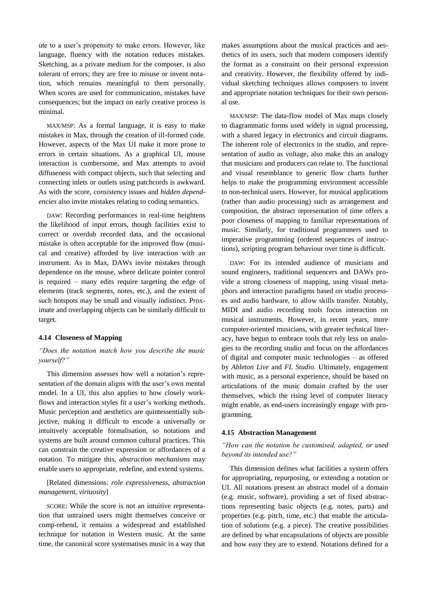ute to a user's propensity to make errors. However, like language, fluency with the notation reduces mistakes. Sketching, as a private medium for the composer, is also tolerant of errors; they are free to misuse or invent notation, which remains meaningful to them personally. When scores are used for communication, mistakes have consequences; but the impact on early creative process is minimal.

MAX/MSP: As a formal language, it is easy to make mistakes in Max, through the creation of ill-formed code. However, aspects of the Max UI make it more prone to errors in certain situations. As a graphical UI, mouse interaction is cumbersome, and Max attempts to avoid diffuseness with compact objects, such that selecting and connecting inlets or outlets using patchcords is awkward. As with the score, *consistency* issues and *hidden dependencies* also invite mistakes relating to coding semantics.

DAW: Recording performances in real-time heightens the likelihood of input errors, though facilities exist to correct or overdub recorded data, and the occasional mistake is often acceptable for the improved flow (musical and creative) afforded by live interaction with an instrument. As in Max, DAWs invite mistakes through dependence on the mouse, where delicate pointer control is required – many edits require targeting the edge of elements (track segments, notes, etc.), and the extent of such hotspots may be small and visually indistinct. Proximate and overlapping objects can be similarly difficult to target.

### **4.14 Closeness of Mapping**

# *"Does the notation match how you describe the music yourself?"*

This dimension assesses how well a notation's representation of the domain aligns with the user's own mental model. In a UI, this also applies to how closely workflows and interaction styles fit a user's working methods. Music perception and aesthetics are quintessentially subjective, making it difficult to encode a universally or intuitively acceptable formalisation, so notations and systems are built around common cultural practices. This can constrain the creative expression or affordances of a notation. To mitigate this, *abstraction mechanisms* may enable users to appropriate, redefine, and extend systems.

# [Related dimensions: *role expressiveness*, *abstraction management*, *virtuosity*]

SCORE: While the score is not an intuitive representation that untrained users might themselves conceive or comp-rehend, it remains a widespread and established technique for notation in Western music. At the same time, the canonical score systematises music in a way that makes assumptions about the musical practices and aesthetics of its users, such that modern composers identify the format as a constraint on their personal expression and creativity. However, the flexibility offered by individual sketching techniques allows composers to invent and appropriate notation techniques for their own personal use.

MAX/MSP: The data-flow model of Max maps closely to diagrammatic forms used widely in signal processing, with a shared legacy in electronics and circuit diagrams. The inherent role of electronics in the studio, and representation of audio as voltage, also make this an analogy that musicians and producers can relate to. The functional and visual resemblance to generic flow charts further helps to make the programming environment accessible to non-technical users. However, for musical applications (rather than audio processing) such as arrangement and composition, the abstract representation of time offers a poor closeness of mapping to familiar representations of music. Similarly, for traditional programmers used to imperative programming (ordered sequences of instructions), scripting program behaviour over time is difficult.

DAW: For its intended audience of musicians and sound engineers, traditional sequencers and DAWs provide a strong closeness of mapping, using visual metaphors and interaction paradigms based on studio processes and audio hardware, to allow skills transfer. Notably, MIDI and audio recording tools focus interaction on musical instruments. However, in recent years, more computer-oriented musicians, with greater technical literacy, have begun to embrace tools that rely less on analogies to the recording studio and focus on the affordances of digital and computer music technologies – as offered by *Ableton Live* and *FL Studio*. Ultimately, engagement with music, as a personal experience, should be based on articulations of the music domain crafted by the user themselves, which the rising level of computer literacy might enable, as end-users increasingly engage with programming.

#### **4.15 Abstraction Management**

### *"How can the notation be customised, adapted, or used beyond its intended use?"*

This dimension defines what facilities a system offers for appropriating, repurposing, or extending a notation or UI. All notations present an abstract model of a domain (e.g. music, software), providing a set of fixed abstractions representing basic objects (e.g. notes, parts) and properties (e.g. pitch, time, etc.) that enable the articulation of solutions (e.g. a piece). The creative possibilities are defined by what encapsulations of objects are possible and how easy they are to extend. Notations defined for a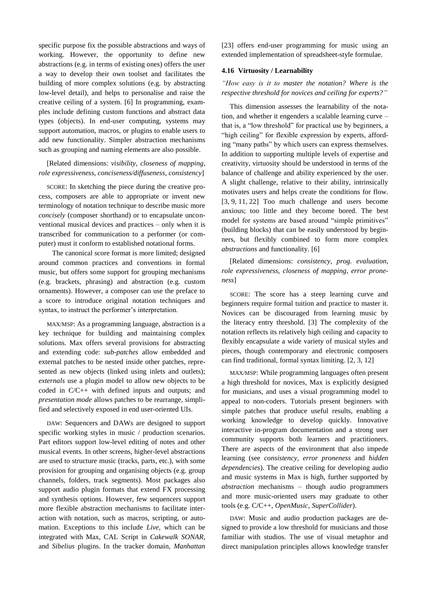specific purpose fix the possible abstractions and ways of working. However, the opportunity to define new abstractions (e.g. in terms of existing ones) offers the user a way to develop their own toolset and facilitates the building of more complex solutions (e.g. by abstracting low-level detail), and helps to personalise and raise the creative ceiling of a system. [\[6\]](#page-12-5) In programming, examples include defining custom functions and abstract data types (objects). In end-user computing, systems may support automation, macros, or plugins to enable users to add new functionality. Simpler abstraction mechanisms such as grouping and naming elements are also possible.

[Related dimensions: *visibility*, *closeness of mapping*, *role expressiveness*, *conciseness/diffuseness*, *consistency*]

SCORE: In sketching the piece during the creative process, composers are able to appropriate or invent new terminology of notation technique to describe music more *concisely* (composer shorthand) or to encapsulate unconventional musical devices and practices – only when it is transcribed for communication to a performer (or computer) must it conform to established notational forms.

 The canonical score format is more limited; designed around common practices and conventions in formal music, but offers some support for grouping mechanisms (e.g. brackets, phrasing) and abstraction (e.g. custom ornaments). However, a composer can use the preface to a score to introduce original notation techniques and syntax, to instruct the performer's interpretation.

MAX/MSP: As a programming language, abstraction is a key technique for building and maintaining complex solutions. Max offers several provisions for abstracting and extending code: *sub-patches* allow embedded and external patches to be nested inside other patches, represented as new objects (linked using inlets and outlets); *externals* use a plugin model to allow new objects to be coded in C/C++ with defined inputs and outputs; and *presentation mode* allows patches to be rearrange, simplified and selectively exposed in end user-oriented UIs.

DAW: Sequencers and DAWs are designed to support specific working styles in music / production scenarios. Part editors support low-level editing of notes and other musical events. In other screens, higher-level abstractions are used to structure music (tracks, parts, etc.), with some provision for grouping and organising objects (e.g. group channels, folders, track segments). Most packages also support audio plugin formats that extend FX processing and synthesis options. However, few sequencers support more flexible abstraction mechanisms to facilitate interaction with notation, such as macros, scripting, or automation. Exceptions to this include *Live*, which can be integrated with Max, CAL Script in *Cakewalk SONAR*, and *Sibelius* plugins. In the tracker domain, *Manhattan* [\[23\]](#page-12-21) offers end-user programming for music using an extended implementation of spreadsheet-style formulae.

### **4.16 Virtuosity / Learnability**

*"How easy is it to master the notation? Where is the respective threshold for novices and ceiling for experts?"*

This dimension assesses the learnability of the notation, and whether it engenders a scalable learning curve – that is, a "low threshold" for practical use by beginners, a "high ceiling" for flexible expression by experts, affording "many paths" by which users can express themselves. In addition to supporting multiple levels of expertise and creativity, virtuosity should be understood in terms of the balance of challenge and ability experienced by the user. A slight challenge, relative to their ability, intrinsically motivates users and helps create the conditions for flow. [\[3,](#page-12-2) [9,](#page-12-8) [11,](#page-12-10) [22\]](#page-12-22) Too much challenge and users become anxious; too little and they become bored. The best model for systems are based around "simple primitives" (building blocks) that can be easily understood by beginners, but flexibly combined to form more complex *abstractions* and functionality. [\[6\]](#page-12-5)

[Related dimensions: *consistency*, *prog. evaluation*, *role expressiveness*, *closeness of mapping*, *error proneness*]

SCORE: The score has a steep learning curve and beginners require formal tuition and practice to master it. Novices can be discouraged from learning music by the literacy entry threshold. [\[3\]](#page-12-2) The complexity of the notation reflects its relatively high ceiling and capacity to flexibly encapsulate a wide variety of musical styles and pieces, though contemporary and electronic composers can find traditional, formal syntax limiting. [\[2,](#page-12-1) [3,](#page-12-2) [12\]](#page-12-11)

MAX/MSP: While programming languages often present a high threshold for novices, Max is explicitly designed for musicians, and uses a visual programming model to appeal to non-coders. Tutorials present beginners with simple patches that produce useful results, enabling a working knowledge to develop quickly. Innovative interactive in-program documentation and a strong user community supports both learners and practitioners. There are aspects of the environment that also impede learning (see *consistency*, *error proneness* and *hidden dependencies*). The creative ceiling for developing audio and music systems in Max is high, further supported by *abstraction* mechanisms – though audio programmers and more music-oriented users may graduate to other tools (e.g. C/C++, *OpenMusic*, *SuperCollider*).

DAW: Music and audio production packages are designed to provide a low threshold for musicians and those familiar with studios. The use of visual metaphor and direct manipulation principles allows knowledge transfer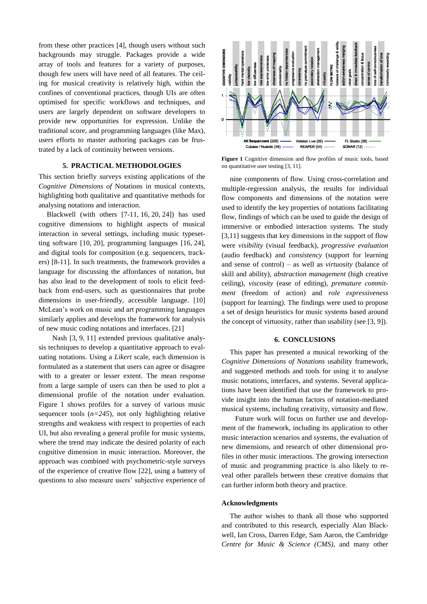from these other practices [\[4\],](#page-12-3) though users without such backgrounds may struggle. Packages provide a wide array of tools and features for a variety of purposes, though few users will have need of all features. The ceiling for musical creativity is relatively high, within the confines of conventional practices, though UIs are often optimised for specific workflows and techniques, and users are largely dependent on software developers to provide new opportunities for expression. Unlike the traditional score, and programming languages (like Max), users efforts to master authoring packages can be frustrated by a lack of continuity between versions.

#### **5. PRACTICAL METHODOLOGIES**

This section briefly surveys existing applications of the *Cognitive Dimensions of* Notations in musical contexts, highlighting both qualitative and quantitative methods for analysing notations and interaction.

Blackwell (with others  $[7-11, 16, 20, 24]$  $[7-11, 16, 20, 24]$  $[7-11, 16, 20, 24]$  $[7-11, 16, 20, 24]$  $[7-11, 16, 20, 24]$  $[7-11, 16, 20, 24]$  $[7-11, 16, 20, 24]$ ) has used cognitive dimensions to highlight aspects of musical interaction in several settings, including music typesetting software [\[10,](#page-12-9) [20\],](#page-12-19) programming languages [\[16,](#page-12-15) [24\],](#page-12-23) and digital tools for composition (e.g. sequencers, trackers) [\[8](#page-12-7)[-11\].](#page-12-10) In such treatments, the framework provides a language for discussing the affordances of notation, but has also lead to the development of tools to elicit feedback from end-users, such as questionnaires that probe dimensions in user-friendly, accessible language. [\[10\]](#page-12-9) McLean's work on music and art programming languages similarly applies and develops the framework for analysis of new music coding notations and interfaces. [\[21\]](#page-12-20)

 Nash [\[3,](#page-12-2) [9,](#page-12-8) [11\]](#page-12-10) extended previous qualitative analysis techniques to develop a quantitative approach to evaluating notations. Using a *Likert* scale, each dimension is formulated as a statement that users can agree or disagree with to a greater or lesser extent. The mean response from a large sample of users can then be used to plot a dimensional profile of the notation under evaluation. Figure 1 shows profiles for a survey of various music sequencer tools  $(n=245)$ , not only highlighting relative strengths and weakness with respect to properties of each UI, but also revealing a general profile for music systems, where the trend may indicate the desired polarity of each cognitive dimension in music interaction. Moreover, the approach was combined with psychometric-style surveys of the experience of creative flow [\[22\],](#page-12-22) using a battery of questions to also measure users' subjective experience of



**Figure 1** Cognitive dimension and flow profiles of music tools, based on quantitative user testin[g \[3,](#page-12-2) [11\].](#page-12-10)

nine components of flow. Using cross-correlation and multiple-regression analysis, the results for individual flow components and dimensions of the notation were used to identify the key properties of notations facilitating flow, findings of which can be used to guide the design of immersive or embodied interaction systems. The study [\[3,](#page-12-2)[11\]](#page-12-10) suggests that key dimensions in the support of flow were *visibility* (visual feedback), *progressive evaluation*  (audio feedback) and *consistency* (support for learning and sense of control) – as well as *virtuosity* (balance of skill and ability), *abstraction management* (high creative ceiling), *viscosity* (ease of editing), *premature commitment* (freedom of action) and *role expressiveness*  (support for learning). The findings were used to propose a set of design heuristics for music systems based around the concept of virtuosity, rather than usability (se[e \[3,](#page-12-2) [9\]\)](#page-12-8).

#### **6. CONCLUSIONS**

This paper has presented a musical reworking of the *Cognitive Dimensions of Notations* usability framework, and suggested methods and tools for using it to analyse music notations, interfaces, and systems. Several applications have been identified that use the framework to provide insight into the human factors of notation-mediated musical systems, including creativity, virtuosity and flow.

 Future work will focus on further use and development of the framework, including its application to other music interaction scenarios and systems, the evaluation of new dimensions, and research of other dimensional profiles in other music interactions. The growing intersection of music and programming practice is also likely to reveal other parallels between these creative domains that can further inform both theory and practice.

#### **Acknowledgments**

The author wishes to thank all those who supported and contributed to this research, especially Alan Blackwell, Ian Cross, Darren Edge, Sam Aaron, the Cambridge *Centre for Music & Science (CMS)*, and many other